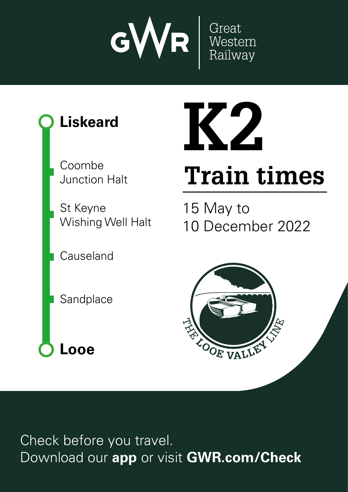





Check before you travel. Download our **app** or visit **GWR.com/Check**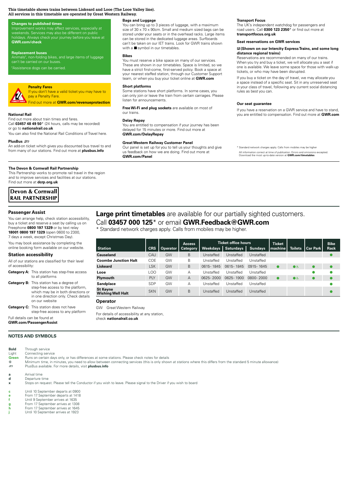#### **This timetable shows trains between Liskeard and Looe (The Looe Valley line). All services in this timetable are operated by Great Western Railway.**

## **Changes to published times**

Improvement works may affect services, especially at<br>weekends. Services may also be different on public holidays check your journey before you leave at **GWR.com/check** 

#### **Replacement buses**

Animals<sup>t</sup>, non-folding bikes, and large items of luggage can't be carried on our buse

h Assistance dogs can be carried.

#### **Penalty Fares** If you don't have a valid ticket you may have to

**VA** pay a Penalty Fare. Find out more at **GWR.com/revenueprotection**

#### **National Rail**

Ein and retwork charges apply. Calls from mobiles apply. Calls from mobiles may be higher. The second control of the second control of the second control of the second control of the second control of the second control of **nı**<br>e <mark>ot</mark><br>ed<br>s.i <mark>on</mark><br>ar<br>n b<mark>oli</mark><br>as ay itikets and checket<br>in purchase tips and conditional<br>tickets and conditional conditions and conditions are the conditions are the conditions are the conditions and<br>interactions are the conditions are the condi <mark>t (</mark><br>me<br>al **Done**<br>as a<br>as out offers, special deals<br>cilculed Find out more about train times and fares. Call **03457 48 49 50**\* (24 hours, calls may be recorded) or go to **nationalrail.co.uk**

io<br>e. **GWR**You can also find the National Rail Conditions of Travel here.

#### **PlusBus** ¬

of<br><sup>Du:</sup><br>Du: col<br>no<br>**rsl**<br>ail sy<br>Fin<br>**Fill** An add-on ticket which gives you discounted bus travel to and from many of our stations. Find out more at **plusbus.info**

#### **The Devon & Cornwall Rail Partnership**

This Partnership works to promote rail travel in the region and to improve services and facilities at our stations. Find out more at **dcrp.org.uk**

# **Devon & Cornwall RAIL PARTNERSHIP**

#### **Passenger Assist**

You can arrange help, check station accessibility, buy a ticket and reserve a seat by calling us on Freephone **0800 197 1329** or by text relay **18001 0800 197 1329** (open 0600 to 2300, 7 days a week, except Christmas Day).

You may book assistance by completing the online booking form available on our website.

#### **Station accessibility**

All of our stations are classified for their level of accessibility:

- **Category A:** This station has step-free access to all platforms
- **Category B:** This station has a degree of step-free access to the platform, which may be in both directions or in one direction only. Check details on our website

**Category C:** This station does not have step-free access to any platform

Full details can be found at **GWR.com/PassengerAssist**

# **NOTES AND SYMBOLS**

| <b>Bold</b> | Through service                  |
|-------------|----------------------------------|
| Light       | Connecting service               |
| Green       | Runs on certain days only, o     |
| $\sim$      | Milatas cas atas si la sata dese |

or has differences at some stations. Please check notes for details

**EXECUTE:** Minimum time, in minutes, you need to allow between connecting services (this is only shown at stations where this differs from the standard 5 minute allowance)<br>
PlusBus available. For more details, visit **plusb** ¬ PlusBus available. For more details, visit **plusbus.info**

**a Arrival time**<br>**d Departure t** 

**d** Departure time<br>**x** Stops on reque **x** Stops on request. Please tell the Conductor if you wish to leave. Please signal to the Driver if you wish to board

**c** Until 10 September departs at 0900

**e** From 17 September departs at 1418

**f** Until 9 September arrives at 1635

**g** From 17 September arrives at 1308<br>**h** From 17 September arrives at 1645 **h** From 17 September arrives at 1645

**j** Until 10 September arrives at 1923

# **Bags and Luggage**

You can bring up to 3 pieces of luggage, with a maximum size of 30 x 70 x 90cm. Small and medium sized bags can be stored under your seats or in the overhead racks. Large items can be stored in the dedicated luggage areas. Surfboards can't be taken on our IET trains. Look for GWR trains shown with a  $\blacksquare$  symbol in our timetables.

#### **Bikes**

You must reserve a bike space on many of our services. These are shown in our timetables. Space is limited, so we have a strict first-come, first-served policy. Book a space at<br>your nearest staffed station, through our Customer Support team, or when you buy your ticket online at **GWR.com**

#### **Short platforms**

Some stations have short platforms. In some cases, you can only join or leave the train from certain carriages. Please listen for announcements.

o:<br>ire<br><sub>i</sub>u **Free Wi-Fi and plug sockets** are available on most of our trains.

#### **Delay Repay**

**More**<br>**More**<br>**More**<br>**Bore**<br>**Bore**<br>**Bore** De<br>/ol<br>GN<br>-You are entitled to compensation if your journey has been delayed for 15 minutes or more. Find out more at **GWR.com/DelayRepay**

### **Great Western Railway Customer Panel**

#### **Transport Focus**

The UK's independent watchdog for passengers and<br>road users. Call **0300 123 2350**\* or find out more at **transportfocus.org.uk**

#### **Seat reservations on GWR services**

#### $\boxtimes$  **(Shown on our Intercity Express Trains, and some long distance regional trains)**

Reservations are recommended on many of our trains. When you try and buy a ticket, we will allocate you a seat if one is available. We leave some space for those with walk-up tickets, or who may have been disrupted.

If you buy a ticket on the day of travel, we may allocate you<br>a space instead of a specific seat. Sit in any unreserved seat in your class of travel, following any current social distancing rules as best you can.

#### **Our seat guarantee**

ruli<br> **Du**<br>
If y<br>
you e el gu<br>ea<br>titl Download our **app** or visit **GWR.com/Check** If you have a reservation on a GWR service and have to stand, you are entitled to compensation. Find out more at **GWR.com**

# **Large print timetables** are available for our partially sighted customers.

|                                             | our trains.                                                                                                                                                                                                     |            |          |                           |                 |                                                                                                                                                                                                                    | IT YOU HAVE A TESERVATION ON A GIVITY SERVICE AND HAVE TO STATIO,<br>you are entitled to compensation. Find out more at GWR.com |               |                |                 |             |  |  |  |  |
|---------------------------------------------|-----------------------------------------------------------------------------------------------------------------------------------------------------------------------------------------------------------------|------------|----------|---------------------------|-----------------|--------------------------------------------------------------------------------------------------------------------------------------------------------------------------------------------------------------------|---------------------------------------------------------------------------------------------------------------------------------|---------------|----------------|-----------------|-------------|--|--|--|--|
| led)<br>el here.                            | Delay Repay<br>You are entitled to compensation if your journey has been<br>delayed for 15 minutes or more. Find out more at<br><b>GWR.com/DelayRepay</b>                                                       |            |          |                           |                 |                                                                                                                                                                                                                    |                                                                                                                                 |               |                |                 |             |  |  |  |  |
| ivel to and<br>s.info                       | <b>Great Western Railway Customer Panel</b><br>Our panel is set up for you to tell us your thoughts and give<br>us feedback on how we are doing. Find out more at<br><b>GWR.com/Panel</b>                       |            |          |                           |                 | * Standard network charges apply. Calls from mobiles may be higher<br>All information correct at time of publication. Errors and omissions excepted.<br>Download the most up-to-date version at GWR.com/timetables |                                                                                                                                 |               |                |                 |             |  |  |  |  |
| region                                      |                                                                                                                                                                                                                 |            |          |                           |                 |                                                                                                                                                                                                                    |                                                                                                                                 |               |                |                 |             |  |  |  |  |
|                                             |                                                                                                                                                                                                                 |            |          |                           |                 |                                                                                                                                                                                                                    |                                                                                                                                 |               |                |                 |             |  |  |  |  |
|                                             |                                                                                                                                                                                                                 |            |          |                           |                 |                                                                                                                                                                                                                    |                                                                                                                                 |               |                |                 |             |  |  |  |  |
|                                             | <b>Large print timetables</b> are available for our partially sighted customers.<br>Call 03457 000 125 $*$ or email GWR.Feedback@GWR.com<br>* Standard network charges apply. Calls from mobiles may be higher. |            |          |                           |                 |                                                                                                                                                                                                                    |                                                                                                                                 |               |                |                 |             |  |  |  |  |
|                                             |                                                                                                                                                                                                                 |            |          |                           |                 | <b>Ticket office hours</b>                                                                                                                                                                                         |                                                                                                                                 | <b>Ticket</b> |                |                 | <b>Bike</b> |  |  |  |  |
| <b>Station</b>                              |                                                                                                                                                                                                                 | <b>CRS</b> | Operator | <b>Access</b><br>Category | <b>Weekdays</b> | <b>Saturdays</b>                                                                                                                                                                                                   | <b>Sundays</b>                                                                                                                  | machine       | <b>Toilets</b> | <b>Car Park</b> | Rack        |  |  |  |  |
| Causeland                                   |                                                                                                                                                                                                                 | CAU        | GW       | B                         | Unstaffed       | Unstaffed                                                                                                                                                                                                          | Unstaffed                                                                                                                       |               |                |                 |             |  |  |  |  |
| <b>Coombe Junction Halt</b>                 |                                                                                                                                                                                                                 | COE        | GW       | B                         | Unstaffed       | Unstaffed                                                                                                                                                                                                          | Unstaffed                                                                                                                       |               |                |                 |             |  |  |  |  |
| <b>Liskeard</b>                             |                                                                                                                                                                                                                 | <b>LSK</b> | GW       | B                         | 0615-1845       | 0615-1845                                                                                                                                                                                                          | 0915-1645                                                                                                                       |               | DĠ             |                 |             |  |  |  |  |
| Looe                                        |                                                                                                                                                                                                                 | LOO        | GW       | А                         | Unstaffed       | Unstaffed                                                                                                                                                                                                          | Unstaffed                                                                                                                       |               |                |                 |             |  |  |  |  |
| Plymouth                                    |                                                                                                                                                                                                                 | PLY        | GW       | A                         | 0625-2000       | 0625-1900                                                                                                                                                                                                          | 0800-2000                                                                                                                       |               |                |                 |             |  |  |  |  |
| Sandplace                                   |                                                                                                                                                                                                                 | <b>SDP</b> | GW       | А                         | Unstaffed       | Unstaffed                                                                                                                                                                                                          | Unstaffed                                                                                                                       |               |                |                 |             |  |  |  |  |
| <b>St Keyne</b><br><b>Wishing Well Halt</b> |                                                                                                                                                                                                                 | <b>SKN</b> | GW       | B                         | Unstaffed       | Unstaffed                                                                                                                                                                                                          | Unstaffed                                                                                                                       |               |                |                 |             |  |  |  |  |

#### **Operator**

GW Great Western Railway For details of accessibility at any station, check **nationalrail.co.uk**